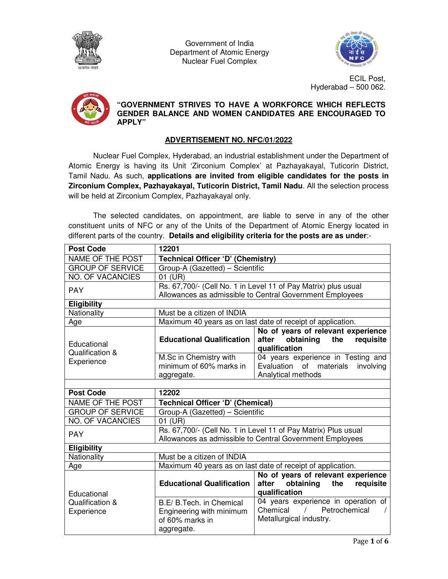

Government of India Department of Atomic Energy Nuclear Fuel Complex



ECIL Post, Hyderabad – 500 062.



**"GOVERNMENT STRIVES TO HAVE A WORKFORCE WHICH REFLECTS GENDER BALANCE AND WOMEN CANDIDATES ARE ENCOURAGED TO APPLY"** 

# **ADVERTISEMENT NO. NFC/01/2022**

Nuclear Fuel Complex, Hyderabad, an industrial establishment under the Department of Atomic Energy is having its Unit 'Zirconium Complex' at Pazhayakayal, Tuticorin District, Tamil Nadu. As such, **applications are invited from eligible candidates for the posts in Zirconium Complex, Pazhayakayal, Tuticorin District, Tamil Nadu**. All the selection process will be held at Zirconium Complex, Pazhayakayal only.

The selected candidates, on appointment, are liable to serve in any of the other constituent units of NFC or any of the Units of the Department of Atomic Energy located in different parts of the country. **Details and eligibility criteria for the posts are as under**:-

| <b>Post Code</b>                             | 12201                                                                                                                      |                                                                                               |
|----------------------------------------------|----------------------------------------------------------------------------------------------------------------------------|-----------------------------------------------------------------------------------------------|
| <b>NAME OF THE POST</b>                      | Technical Officer 'D' (Chemistry)                                                                                          |                                                                                               |
| <b>GROUP OF SERVICE</b>                      | Group-A (Gazetted) - Scientific                                                                                            |                                                                                               |
| <b>NO. OF VACANCIES</b>                      | 01 (UR)                                                                                                                    |                                                                                               |
| <b>PAY</b>                                   | Rs. 67,700/- (Cell No. 1 in Level 11 of Pay Matrix) plus usual                                                             |                                                                                               |
|                                              | Allowances as admissible to Central Government Employees                                                                   |                                                                                               |
| <b>Eligibility</b>                           |                                                                                                                            |                                                                                               |
| Nationality                                  | Must be a citizen of INDIA                                                                                                 |                                                                                               |
| Age                                          | Maximum 40 years as on last date of receipt of application.                                                                |                                                                                               |
| Educational<br>Qualification &<br>Experience | <b>Educational Qualification</b>                                                                                           | No of years of relevant experience<br>obtaining<br>after<br>the<br>requisite<br>qualification |
|                                              | M.Sc in Chemistry with<br>minimum of 60% marks in<br>aggregate.                                                            | 04 years experience in Testing and<br>Evaluation of materials involving<br>Analytical methods |
|                                              |                                                                                                                            |                                                                                               |
| <b>Post Code</b>                             | 12202                                                                                                                      |                                                                                               |
| NAME OF THE POST                             | Technical Officer 'D' (Chemical)                                                                                           |                                                                                               |
| <b>GROUP OF SERVICE</b>                      | Group-A (Gazetted) - Scientific                                                                                            |                                                                                               |
| <b>NO. OF VACANCIES</b>                      | 01 (UR)                                                                                                                    |                                                                                               |
| <b>PAY</b>                                   | Rs. 67,700/- (Cell No. 1 in Level 11 of Pay Matrix) Plus usual<br>Allowances as admissible to Central Government Employees |                                                                                               |
| <b>Eligibility</b>                           |                                                                                                                            |                                                                                               |
| Nationality                                  | Must be a citizen of INDIA                                                                                                 |                                                                                               |
| Age                                          | Maximum 40 years as on last date of receipt of application.                                                                |                                                                                               |
| Educational<br>Qualification &<br>Experience | <b>Educational Qualification</b>                                                                                           | No of years of relevant experience<br>after obtaining the<br>requisite<br>qualification       |
|                                              | B.E/ B.Tech. in Chemical<br>Engineering with minimum<br>of 60% marks in<br>aggregate.                                      | 04 years experience in operation of<br>/ Petrochemical<br>Chemical<br>Metallurgical industry. |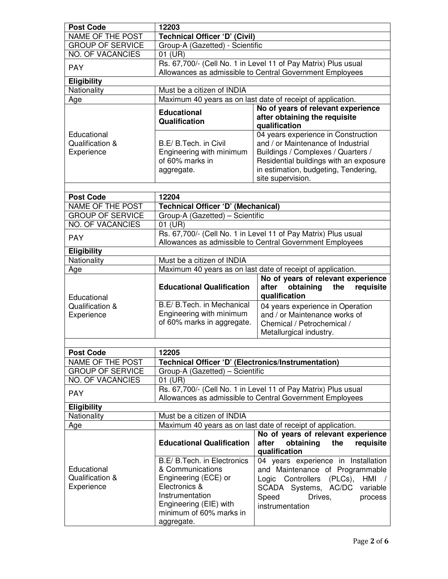| <b>Post Code</b>                             | 12203                                                                                                                                                                          |                                                                                                                                                                                                                        |
|----------------------------------------------|--------------------------------------------------------------------------------------------------------------------------------------------------------------------------------|------------------------------------------------------------------------------------------------------------------------------------------------------------------------------------------------------------------------|
| NAME OF THE POST                             | <b>Technical Officer 'D' (Civil)</b>                                                                                                                                           |                                                                                                                                                                                                                        |
| <b>GROUP OF SERVICE</b>                      | Group-A (Gazetted) - Scientific                                                                                                                                                |                                                                                                                                                                                                                        |
| <b>NO. OF VACANCIES</b>                      | 01 (UR)                                                                                                                                                                        |                                                                                                                                                                                                                        |
| <b>PAY</b>                                   | Rs. 67,700/- (Cell No. 1 in Level 11 of Pay Matrix) Plus usual                                                                                                                 |                                                                                                                                                                                                                        |
|                                              | Allowances as admissible to Central Government Employees                                                                                                                       |                                                                                                                                                                                                                        |
| <b>Eligibility</b>                           |                                                                                                                                                                                |                                                                                                                                                                                                                        |
| Nationality                                  | Must be a citizen of INDIA                                                                                                                                                     |                                                                                                                                                                                                                        |
| Age                                          | Maximum 40 years as on last date of receipt of application.                                                                                                                    |                                                                                                                                                                                                                        |
|                                              | <b>Educational</b><br>Qualification                                                                                                                                            | No of years of relevant experience<br>after obtaining the requisite<br>qualification                                                                                                                                   |
| Educational<br>Qualification &<br>Experience | B.E/ B.Tech. in Civil<br>Engineering with minimum<br>of 60% marks in<br>aggregate.                                                                                             | 04 years experience in Construction<br>and / or Maintenance of Industrial<br>Buildings / Complexes / Quarters /<br>Residential buildings with an exposure<br>in estimation, budgeting, Tendering,<br>site supervision. |
|                                              |                                                                                                                                                                                |                                                                                                                                                                                                                        |
| <b>Post Code</b><br><b>NAME OF THE POST</b>  | 12204                                                                                                                                                                          |                                                                                                                                                                                                                        |
| <b>GROUP OF SERVICE</b>                      | <b>Technical Officer 'D' (Mechanical)</b><br>Group-A (Gazetted) - Scientific                                                                                                   |                                                                                                                                                                                                                        |
| <b>NO. OF VACANCIES</b>                      | 01 (UR)                                                                                                                                                                        |                                                                                                                                                                                                                        |
|                                              | Rs. 67,700/- (Cell No. 1 in Level 11 of Pay Matrix) Plus usual                                                                                                                 |                                                                                                                                                                                                                        |
| <b>PAY</b>                                   | Allowances as admissible to Central Government Employees                                                                                                                       |                                                                                                                                                                                                                        |
| <b>Eligibility</b>                           |                                                                                                                                                                                |                                                                                                                                                                                                                        |
| Nationality                                  | Must be a citizen of INDIA                                                                                                                                                     |                                                                                                                                                                                                                        |
| Age                                          | Maximum 40 years as on last date of receipt of application.                                                                                                                    |                                                                                                                                                                                                                        |
| Educational<br>Qualification &<br>Experience | <b>Educational Qualification</b>                                                                                                                                               | No of years of relevant experience<br>obtaining<br>the<br>after<br>requisite<br>qualification                                                                                                                          |
|                                              | B.E/ B.Tech. in Mechanical<br>Engineering with minimum<br>of 60% marks in aggregate.                                                                                           | 04 years experience in Operation<br>and / or Maintenance works of<br>Chemical / Petrochemical /<br>Metallurgical industry.                                                                                             |
|                                              |                                                                                                                                                                                |                                                                                                                                                                                                                        |
| <b>Post Code</b>                             | 12205                                                                                                                                                                          |                                                                                                                                                                                                                        |
| NAME OF THE POST                             | Technical Officer 'D' (Electronics/Instrumentation)                                                                                                                            |                                                                                                                                                                                                                        |
| <b>GROUP OF SERVICE</b><br>NO. OF VACANCIES  | Group-A (Gazetted) - Scientific<br>01 (UR)                                                                                                                                     |                                                                                                                                                                                                                        |
|                                              | Rs. 67,700/- (Cell No. 1 in Level 11 of Pay Matrix) Plus usual                                                                                                                 |                                                                                                                                                                                                                        |
| <b>PAY</b>                                   | Allowances as admissible to Central Government Employees                                                                                                                       |                                                                                                                                                                                                                        |
| <b>Eligibility</b>                           |                                                                                                                                                                                |                                                                                                                                                                                                                        |
| Nationality                                  | Must be a citizen of INDIA                                                                                                                                                     |                                                                                                                                                                                                                        |
| Age                                          | Maximum 40 years as on last date of receipt of application.                                                                                                                    |                                                                                                                                                                                                                        |
|                                              | <b>Educational Qualification</b>                                                                                                                                               | No of years of relevant experience<br>obtaining<br>the<br>requisite<br>after<br>qualification                                                                                                                          |
| Educational<br>Qualification &<br>Experience | B.E/ B.Tech. in Electronics<br>& Communications<br>Engineering (ECE) or<br>Electronics &<br>Instrumentation<br>Engineering (EIE) with<br>minimum of 60% marks in<br>aggregate. | 04 years experience in Installation<br>and Maintenance of Programmable<br>Logic Controllers (PLCs),<br>HMI<br>SCADA Systems, AC/DC<br>variable<br>Speed<br>Drives,<br>process<br>instrumentation                       |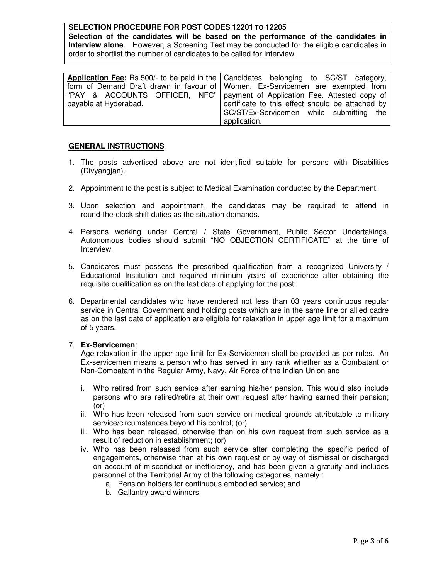### **SELECTION PROCEDURE FOR POST CODES 12201 TO 12205**

**Selection of the candidates will be based on the performance of the candidates in Interview alone**. However, a Screening Test may be conducted for the eligible candidates in order to shortlist the number of candidates to be called for Interview.

|                       | Application Fee: Rs.500/- to be paid in the Candidates belonging to SC/ST category, |
|-----------------------|-------------------------------------------------------------------------------------|
|                       | form of Demand Draft drawn in favour of Women, Ex-Servicemen are exempted from      |
|                       | "PAY & ACCOUNTS OFFICER, NFC"   payment of Application Fee. Attested copy of        |
| payable at Hyderabad. | certificate to this effect should be attached by                                    |
|                       | SC/ST/Ex-Servicemen while submitting the                                            |
|                       | application.                                                                        |

### **GENERAL INSTRUCTIONS**

- 1. The posts advertised above are not identified suitable for persons with Disabilities (Divyangjan).
- 2. Appointment to the post is subject to Medical Examination conducted by the Department.
- 3. Upon selection and appointment, the candidates may be required to attend in round-the-clock shift duties as the situation demands.
- 4. Persons working under Central / State Government, Public Sector Undertakings, Autonomous bodies should submit "NO OBJECTION CERTIFICATE" at the time of Interview.
- 5. Candidates must possess the prescribed qualification from a recognized University / Educational Institution and required minimum years of experience after obtaining the requisite qualification as on the last date of applying for the post.
- 6. Departmental candidates who have rendered not less than 03 years continuous regular service in Central Government and holding posts which are in the same line or allied cadre as on the last date of application are eligible for relaxation in upper age limit for a maximum of 5 years.

#### 7. **Ex-Servicemen**:

Age relaxation in the upper age limit for Ex-Servicemen shall be provided as per rules. An Ex-servicemen means a person who has served in any rank whether as a Combatant or Non-Combatant in the Regular Army, Navy, Air Force of the Indian Union and

- i. Who retired from such service after earning his/her pension. This would also include persons who are retired/retire at their own request after having earned their pension; (or)
- ii. Who has been released from such service on medical grounds attributable to military service/circumstances beyond his control; (or)
- iii. Who has been released, otherwise than on his own request from such service as a result of reduction in establishment; (or)
- iv. Who has been released from such service after completing the specific period of engagements, otherwise than at his own request or by way of dismissal or discharged on account of misconduct or inefficiency, and has been given a gratuity and includes personnel of the Territorial Army of the following categories, namely :
	- a. Pension holders for continuous embodied service; and
	- b. Gallantry award winners.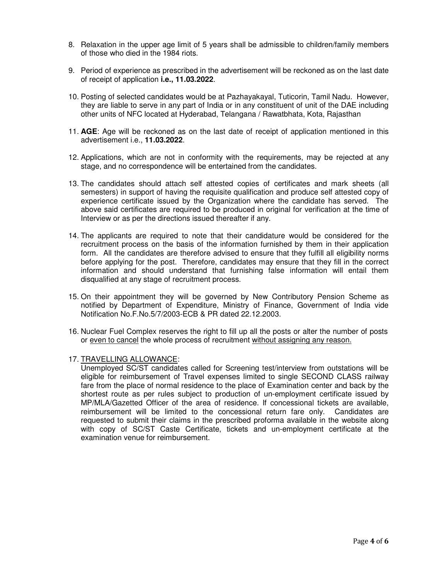- 8. Relaxation in the upper age limit of 5 years shall be admissible to children/family members of those who died in the 1984 riots.
- 9. Period of experience as prescribed in the advertisement will be reckoned as on the last date of receipt of application **i.e., 11.03.2022**.
- 10. Posting of selected candidates would be at Pazhayakayal, Tuticorin, Tamil Nadu. However, they are liable to serve in any part of India or in any constituent of unit of the DAE including other units of NFC located at Hyderabad, Telangana / Rawatbhata, Kota, Rajasthan
- 11. **AGE**: Age will be reckoned as on the last date of receipt of application mentioned in this advertisement i.e., **11.03.2022**.
- 12. Applications, which are not in conformity with the requirements, may be rejected at any stage, and no correspondence will be entertained from the candidates.
- 13. The candidates should attach self attested copies of certificates and mark sheets (all semesters) in support of having the requisite qualification and produce self attested copy of experience certificate issued by the Organization where the candidate has served. The above said certificates are required to be produced in original for verification at the time of Interview or as per the directions issued thereafter if any.
- 14. The applicants are required to note that their candidature would be considered for the recruitment process on the basis of the information furnished by them in their application form. All the candidates are therefore advised to ensure that they fulfill all eligibility norms before applying for the post. Therefore, candidates may ensure that they fill in the correct information and should understand that furnishing false information will entail them disqualified at any stage of recruitment process.
- 15. On their appointment they will be governed by New Contributory Pension Scheme as notified by Department of Expenditure, Ministry of Finance, Government of India vide Notification No.F.No.5/7/2003-ECB & PR dated 22.12.2003.
- 16. Nuclear Fuel Complex reserves the right to fill up all the posts or alter the number of posts or even to cancel the whole process of recruitment without assigning any reason.

#### 17. TRAVELLING ALLOWANCE:

Unemployed SC/ST candidates called for Screening test/interview from outstations will be eligible for reimbursement of Travel expenses limited to single SECOND CLASS railway fare from the place of normal residence to the place of Examination center and back by the shortest route as per rules subject to production of un-employment certificate issued by MP/MLA/Gazetted Officer of the area of residence. If concessional tickets are available, reimbursement will be limited to the concessional return fare only. Candidates are requested to submit their claims in the prescribed proforma available in the website along with copy of SC/ST Caste Certificate, tickets and un-employment certificate at the examination venue for reimbursement.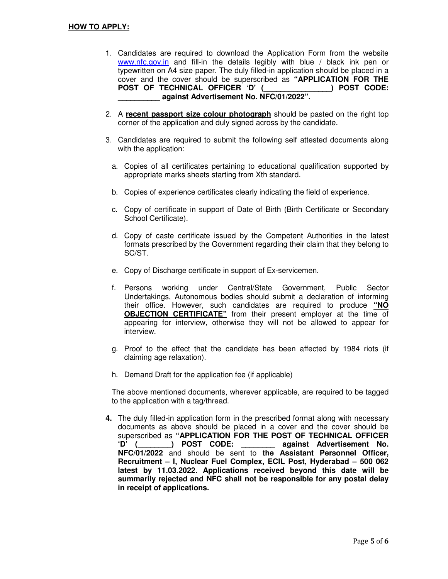- 1. Candidates are required to download the Application Form from the website www.nfc.gov.in and fill-in the details legibly with blue / black ink pen or typewritten on A4 size paper. The duly filled-in application should be placed in a cover and the cover should be superscribed as **"APPLICATION FOR THE POST OF TECHNICAL OFFICER 'D' (\_\_\_\_\_\_\_\_\_\_\_\_\_\_\_\_) POST CODE: \_\_\_\_\_\_\_\_\_\_ against Advertisement No. NFC/01/2022".**
- 2. A **recent passport size colour photograph** should be pasted on the right top corner of the application and duly signed across by the candidate.
- 3. Candidates are required to submit the following self attested documents along with the application:
	- a. Copies of all certificates pertaining to educational qualification supported by appropriate marks sheets starting from Xth standard.
	- b. Copies of experience certificates clearly indicating the field of experience.
	- c. Copy of certificate in support of Date of Birth (Birth Certificate or Secondary School Certificate).
	- d. Copy of caste certificate issued by the Competent Authorities in the latest formats prescribed by the Government regarding their claim that they belong to SC/ST.
	- e. Copy of Discharge certificate in support of Ex-servicemen.
	- f. Persons working under Central/State Government, Public Sector Undertakings, Autonomous bodies should submit a declaration of informing their office. However, such candidates are required to produce **"NO OBJECTION CERTIFICATE"** from their present employer at the time of appearing for interview, otherwise they will not be allowed to appear for interview.
	- g. Proof to the effect that the candidate has been affected by 1984 riots (if claiming age relaxation).
	- h. Demand Draft for the application fee (if applicable)

The above mentioned documents, wherever applicable, are required to be tagged to the application with a tag/thread.

**4.** The duly filled-in application form in the prescribed format along with necessary documents as above should be placed in a cover and the cover should be superscribed as **"APPLICATION FOR THE POST OF TECHNICAL OFFICER 'D' (\_\_\_\_\_\_\_\_) POST CODE: \_\_\_\_\_\_\_\_ against Advertisement No. NFC/01/2022** and should be sent to **the Assistant Personnel Officer, Recruitment – I, Nuclear Fuel Complex, ECIL Post, Hyderabad – 500 062 latest by 11.03.2022. Applications received beyond this date will be summarily rejected and NFC shall not be responsible for any postal delay in receipt of applications.**